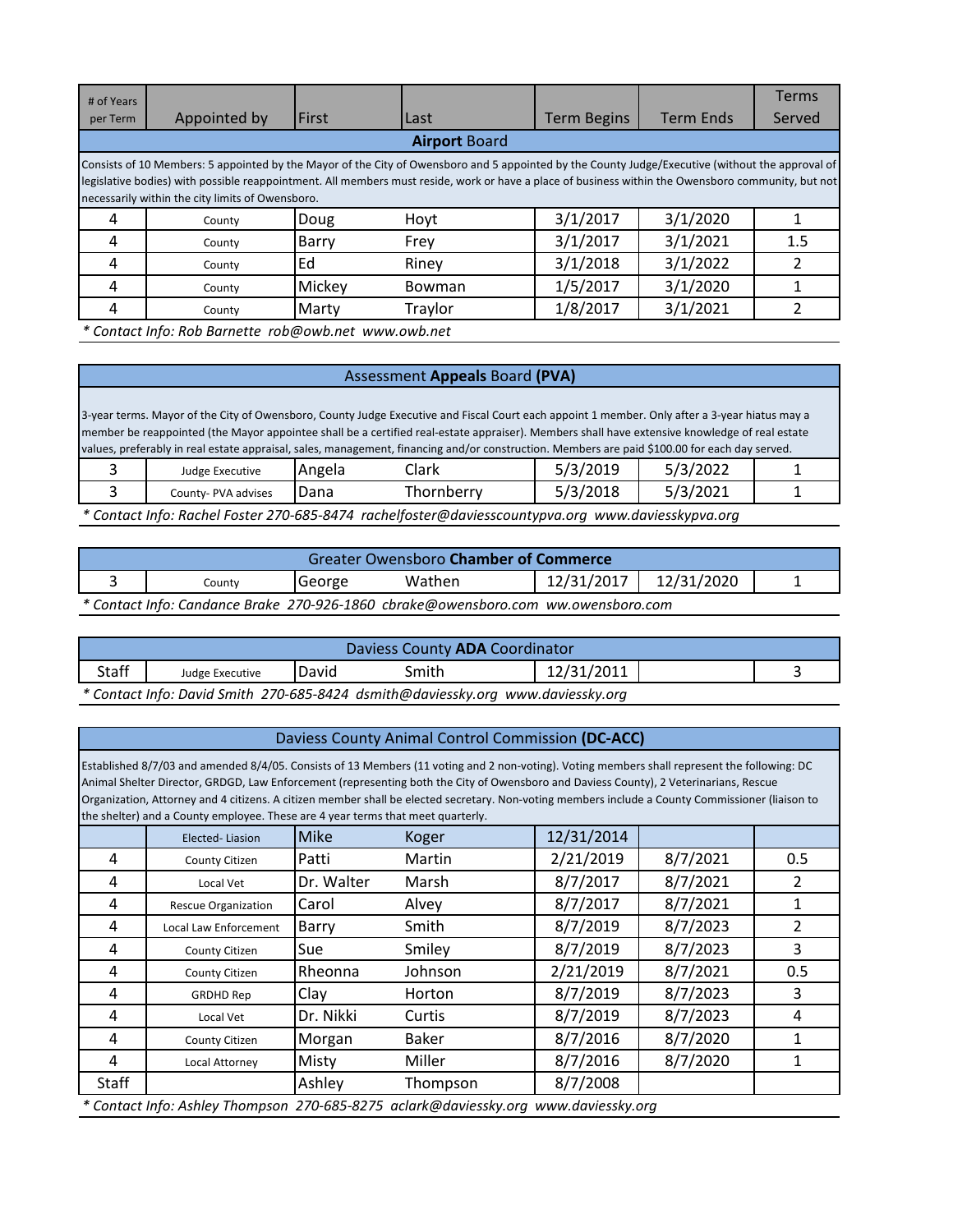| # of Years                                                                                                                                                                                                                                                                                                                                                 |                                                      |        |         |                    |                  | <b>Terms</b> |  |  |  |
|------------------------------------------------------------------------------------------------------------------------------------------------------------------------------------------------------------------------------------------------------------------------------------------------------------------------------------------------------------|------------------------------------------------------|--------|---------|--------------------|------------------|--------------|--|--|--|
| per Term                                                                                                                                                                                                                                                                                                                                                   | Appointed by                                         | First  | Last    | <b>Term Begins</b> | <b>Term Ends</b> | Served       |  |  |  |
| <b>Airport Board</b>                                                                                                                                                                                                                                                                                                                                       |                                                      |        |         |                    |                  |              |  |  |  |
| Consists of 10 Members: 5 appointed by the Mayor of the City of Owensboro and 5 appointed by the County Judge/Executive (without the approval of<br>legislative bodies) with possible reappointment. All members must reside, work or have a place of business within the Owensboro community, but not<br>necessarily within the city limits of Owensboro. |                                                      |        |         |                    |                  |              |  |  |  |
| 4                                                                                                                                                                                                                                                                                                                                                          | County                                               | Doug   | Hoyt    | 3/1/2017           | 3/1/2020         |              |  |  |  |
| 4                                                                                                                                                                                                                                                                                                                                                          | County                                               | Barry  | Frey    | 3/1/2017           | 3/1/2021         | 1.5          |  |  |  |
| 4                                                                                                                                                                                                                                                                                                                                                          | County                                               | Ed     | Riney   | 3/1/2018           | 3/1/2022         |              |  |  |  |
| 4                                                                                                                                                                                                                                                                                                                                                          | County                                               | Mickey | Bowman  | 1/5/2017           | 3/1/2020         |              |  |  |  |
| 4                                                                                                                                                                                                                                                                                                                                                          | County                                               | Marty  | Traylor | 1/8/2017           | 3/1/2021         |              |  |  |  |
|                                                                                                                                                                                                                                                                                                                                                            | * Contact Info: Rob Barnette rob@owb.net www.owb.net |        |         |                    |                  |              |  |  |  |

# Assessment **Appeals** Board **(PVA)**

| 3-year terms. Mayor of the City of Owensboro, County Judge Executive and Fiscal Court each appoint 1 member. Only after a 3-year hiatus may a |        |                                                                                                                                               |          |          |  |  |  |
|-----------------------------------------------------------------------------------------------------------------------------------------------|--------|-----------------------------------------------------------------------------------------------------------------------------------------------|----------|----------|--|--|--|
|                                                                                                                                               |        | member be reappointed (the Mayor appointee shall be a certified real-estate appraiser). Members shall have extensive knowledge of real estate |          |          |  |  |  |
| values, preferably in real estate appraisal, sales, management, financing and/or construction. Members are paid \$100.00 for each day served. |        |                                                                                                                                               |          |          |  |  |  |
| Judge Executive                                                                                                                               | Angela | Clark                                                                                                                                         | 5/3/2019 | 5/3/2022 |  |  |  |
| 5/3/2018<br>5/3/2021<br>Thornberry<br>Dana<br>County- PVA advises                                                                             |        |                                                                                                                                               |          |          |  |  |  |
| * Contact Info: Rachel Foster 270-685-8474 rachelfoster@daviesscountypva.org www.daviesskypva.org                                             |        |                                                                                                                                               |          |          |  |  |  |

| <b>Greater Owensboro Chamber of Commerce</b> |                                                                                   |        |        |            |            |  |  |  |
|----------------------------------------------|-----------------------------------------------------------------------------------|--------|--------|------------|------------|--|--|--|
|                                              | Countv                                                                            | George | Wathen | 12/31/2017 | 12/31/2020 |  |  |  |
|                                              | * Contact Info: Candance Brake 270-926-1860 cbrake@owensboro.com ww.owensboro.com |        |        |            |            |  |  |  |

| Daviess County ADA Coordinator |                                                                                 |       |       |            |  |  |  |  |
|--------------------------------|---------------------------------------------------------------------------------|-------|-------|------------|--|--|--|--|
| <b>Staff</b>                   | Judge Executive                                                                 | David | Smith | 12/31/2011 |  |  |  |  |
|                                | * Contact Info: David Smith 270-685-8424 dsmith@daviessky.org www.daviessky.org |       |       |            |  |  |  |  |

# Daviess County Animal Control Commission **(DC-ACC)**

Established 8/7/03 and amended 8/4/05. Consists of 13 Members (11 voting and 2 non-voting). Voting members shall represent the following: DC Animal Shelter Director, GRDGD, Law Enforcement (representing both the City of Owensboro and Daviess County), 2 Veterinarians, Rescue Organization, Attorney and 4 citizens. A citizen member shall be elected secretary. Non-voting members include a County Commissioner (liaison to the shelter) and a County employee. These are 4 year terms that meet quarterly.

|       | are sheker, and a county employee. These are if your terms and meet quarterly. |             |                                                                                     |            |          |     |
|-------|--------------------------------------------------------------------------------|-------------|-------------------------------------------------------------------------------------|------------|----------|-----|
|       | Elected-Liasion                                                                | <b>Mike</b> | Koger                                                                               | 12/31/2014 |          |     |
| 4     | County Citizen                                                                 | Patti       | Martin                                                                              | 2/21/2019  | 8/7/2021 | 0.5 |
| 4     | Local Vet                                                                      | Dr. Walter  | Marsh                                                                               | 8/7/2017   | 8/7/2021 | 2   |
| 4     | <b>Rescue Organization</b>                                                     | Carol       | Alvey                                                                               | 8/7/2017   | 8/7/2021 |     |
| 4     | <b>Local Law Enforcement</b>                                                   | Barry       | Smith                                                                               | 8/7/2019   | 8/7/2023 |     |
| 4     | County Citizen                                                                 | Sue         | Smiley                                                                              | 8/7/2019   | 8/7/2023 | 3   |
| 4     | County Citizen                                                                 | Rheonna     | Johnson                                                                             | 2/21/2019  | 8/7/2021 | 0.5 |
| 4     | <b>GRDHD Rep</b>                                                               | Clay        | Horton                                                                              | 8/7/2019   | 8/7/2023 | 3   |
| 4     | Local Vet                                                                      | Dr. Nikki   | Curtis                                                                              | 8/7/2019   | 8/7/2023 | 4   |
| 4     | County Citizen                                                                 | Morgan      | <b>Baker</b>                                                                        | 8/7/2016   | 8/7/2020 |     |
| 4     | Local Attorney                                                                 | Misty       | Miller                                                                              | 8/7/2016   | 8/7/2020 |     |
| Staff |                                                                                | Ashley      | Thompson                                                                            | 8/7/2008   |          |     |
|       |                                                                                |             | * Contact Info: Ashley Thompson 270-685-8275 aclark@daviessky.org www.daviessky.org |            |          |     |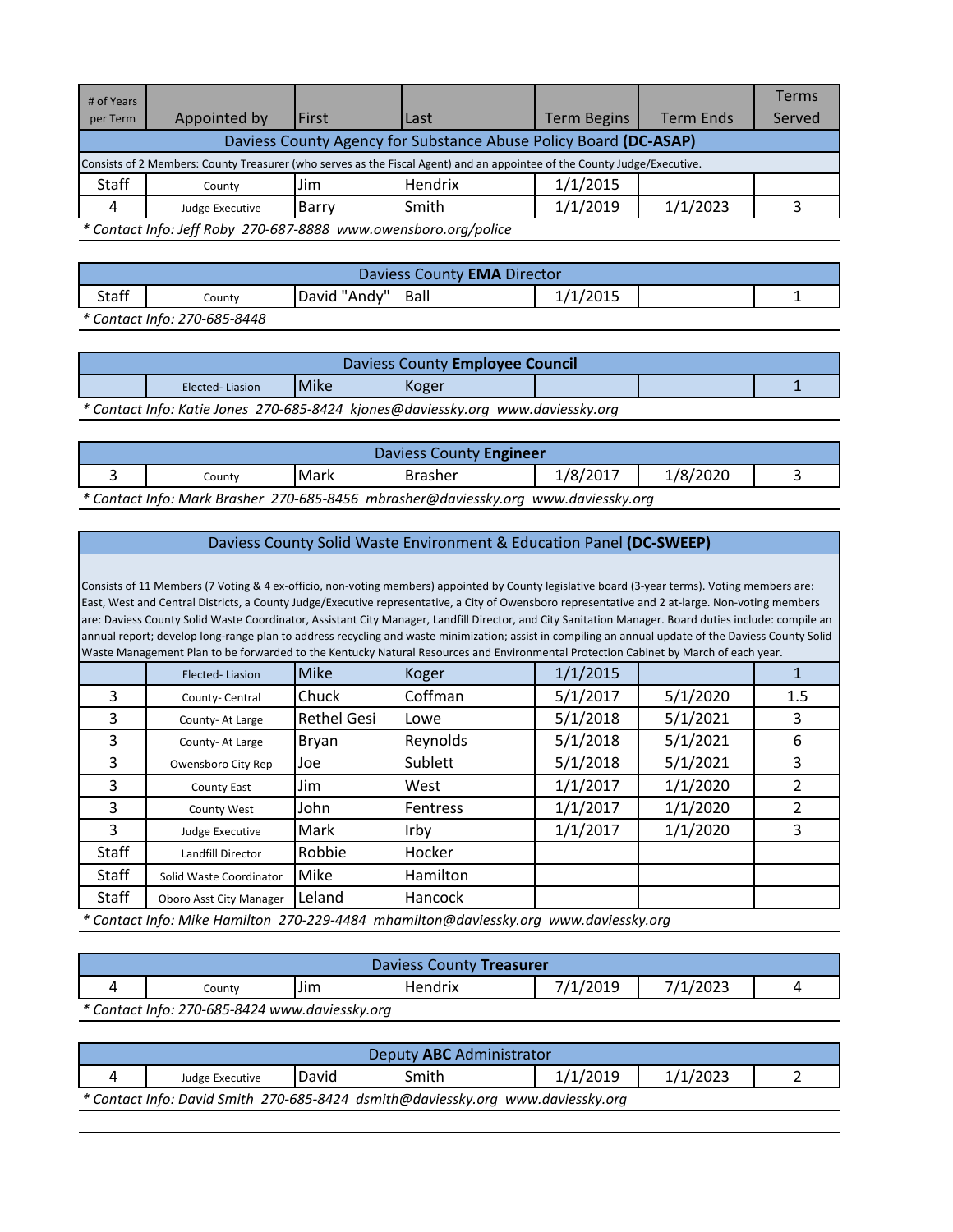| # of Years                                                       |                                                                                                                          |       |         |                    |                  | Terms  |  |  |  |
|------------------------------------------------------------------|--------------------------------------------------------------------------------------------------------------------------|-------|---------|--------------------|------------------|--------|--|--|--|
| per Term                                                         | Appointed by                                                                                                             | First | Last    | <b>Term Begins</b> | <b>Term Ends</b> | Served |  |  |  |
| Daviess County Agency for Substance Abuse Policy Board (DC-ASAP) |                                                                                                                          |       |         |                    |                  |        |  |  |  |
|                                                                  | Consists of 2 Members: County Treasurer (who serves as the Fiscal Agent) and an appointee of the County Judge/Executive. |       |         |                    |                  |        |  |  |  |
| Staff                                                            | County                                                                                                                   | Jim   | Hendrix | 1/1/2015           |                  |        |  |  |  |
| 4                                                                | Judge Executive                                                                                                          | Barry | Smith   | 1/1/2019           | 1/1/2023         |        |  |  |  |
|                                                                  | * Contact Info: Jeff Roby 270-687-8888 www.owensboro.org/police                                                          |       |         |                    |                  |        |  |  |  |

Staff County David "Andy" Ball 1/1/2015 1 Daviess County **EMA** Director

*\* Contact Info: 270-685-8448*

|                                         | Daviess County Employee Council                                                 |  |  |  |  |  |  |  |
|-----------------------------------------|---------------------------------------------------------------------------------|--|--|--|--|--|--|--|
| <b>Mike</b><br>Koger<br>Elected-Liasion |                                                                                 |  |  |  |  |  |  |  |
|                                         | * Contact Info: Katie Jones 270-685-8424 kjones@daviessky.org www.daviessky.org |  |  |  |  |  |  |  |

| Daviess County Engineer                                                            |      |                |          |          |  |  |  |  |
|------------------------------------------------------------------------------------|------|----------------|----------|----------|--|--|--|--|
| County                                                                             | Mark | <b>Brasher</b> | 1/8/2017 | 1/8/2020 |  |  |  |  |
| * Contact Info: Mark Brasher 270-685-8456 mbrasher@daviessky.org www.daviessky.org |      |                |          |          |  |  |  |  |

### Daviess County Solid Waste Environment & Education Panel **(DC-SWEEP)**

Consists of 11 Members (7 Voting & 4 ex-officio, non-voting members) appointed by County legislative board (3-year terms). Voting members are: East, West and Central Districts, a County Judge/Executive representative, a City of Owensboro representative and 2 at-large. Non-voting members are: Daviess County Solid Waste Coordinator, Assistant City Manager, Landfill Director, and City Sanitation Manager. Board duties include: compile an annual report; develop long-range plan to address recycling and waste minimization; assist in compiling an annual update of the Daviess County Solid Waste Management Plan to be forwarded to the Kentucky Natural Resources and Environmental Protection Cabinet by March of each year.

|       | Elected-Liasion         | <b>Mike</b>        | Koger    | 1/1/2015 |          |     |
|-------|-------------------------|--------------------|----------|----------|----------|-----|
| 3     | County-Central          | Chuck              | Coffman  | 5/1/2017 | 5/1/2020 | 1.5 |
| 3     | County-At Large         | <b>Rethel Gesi</b> | Lowe     | 5/1/2018 | 5/1/2021 | 3   |
| 3     | County-At Large         | Bryan              | Reynolds | 5/1/2018 | 5/1/2021 | 6   |
| 3     | Owensboro City Rep      | Joe                | Sublett  | 5/1/2018 | 5/1/2021 | 3   |
| 3     | County East             | Jim                | West     | 1/1/2017 | 1/1/2020 |     |
| 3     | County West             | John               | Fentress | 1/1/2017 | 1/1/2020 |     |
| 3     | Judge Executive         | Mark               | Irby     | 1/1/2017 | 1/1/2020 | 3   |
| Staff | Landfill Director       | Robbie             | Hocker   |          |          |     |
| Staff | Solid Waste Coordinator | Mike               | Hamilton |          |          |     |
| Staff | Oboro Asst City Manager | Leland             | Hancock  |          |          |     |

*\* Contact Info: Mike Hamilton 270-229-4484 mhamilton@daviessky.org www.daviessky.org*

| Daviess County Treasurer                         |  |  |  |  |  |  |  |  |
|--------------------------------------------------|--|--|--|--|--|--|--|--|
| 7/1/2019<br>7/1/2023<br>Jim<br>Hendrix<br>Countv |  |  |  |  |  |  |  |  |
| * Contact Info: 270-685-8424 www.daviessky.org   |  |  |  |  |  |  |  |  |

| Deputy ABC Administrator                                                        |       |       |          |          |  |  |  |  |
|---------------------------------------------------------------------------------|-------|-------|----------|----------|--|--|--|--|
| Judge Executive                                                                 | David | Smith | 1/1/2019 | 1/1/2023 |  |  |  |  |
| * Contact Info: David Smith 270-685-8424 dsmith@daviessky.org www.daviessky.org |       |       |          |          |  |  |  |  |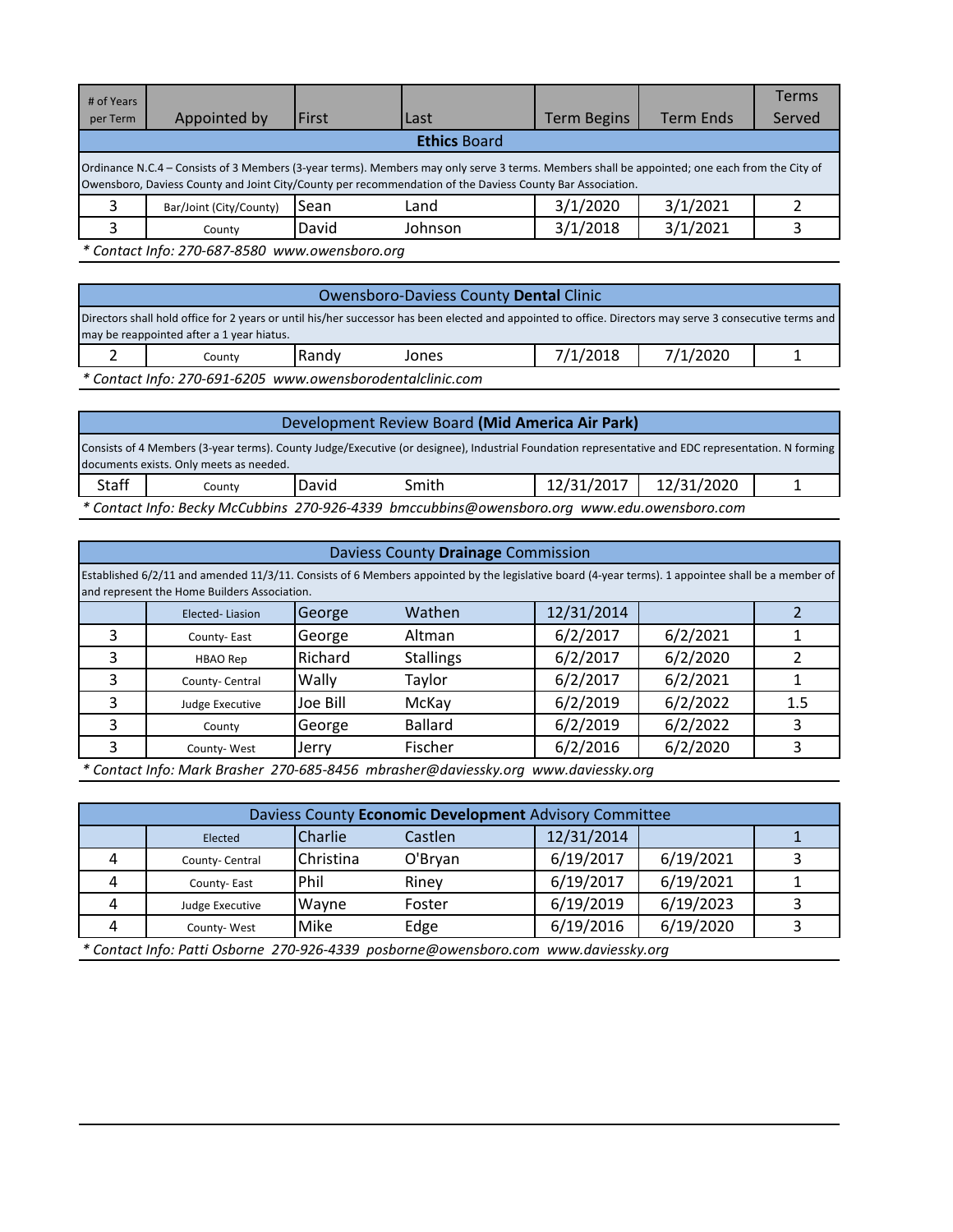| # of Years<br>per Term | Appointed by                                                                                                                                                                                                                                               | <b>First</b> | Last    | <b>Term Begins</b> | <b>Term Ends</b> | Terms<br>Served |  |  |  |
|------------------------|------------------------------------------------------------------------------------------------------------------------------------------------------------------------------------------------------------------------------------------------------------|--------------|---------|--------------------|------------------|-----------------|--|--|--|
|                        | <b>Ethics Board</b>                                                                                                                                                                                                                                        |              |         |                    |                  |                 |  |  |  |
|                        | Ordinance N.C.4 – Consists of 3 Members (3-year terms). Members may only serve 3 terms. Members shall be appointed; one each from the City of<br>Owensboro, Daviess County and Joint City/County per recommendation of the Daviess County Bar Association. |              |         |                    |                  |                 |  |  |  |
| 3                      | Bar/Joint (City/County)                                                                                                                                                                                                                                    | Sean         | Land    | 3/1/2020           | 3/1/2021         |                 |  |  |  |
| ς                      | County                                                                                                                                                                                                                                                     | David        | Johnson | 3/1/2018           | 3/1/2021         |                 |  |  |  |
|                        | * Contact Info: 270-687-8580 www.owensboro.org                                                                                                                                                                                                             |              |         |                    |                  |                 |  |  |  |

# Owensboro-Daviess County **Dental** Clinic

2 | County | Randy Jones | 7/1/2018 | 7/1/2020 | 1 Directors shall hold office for 2 years or until his/her successor has been elected and appointed to office. Directors may serve 3 consecutive terms and may be reappointed after a 1 year hiatus.

*\* Contact Info: 270-691-6205 www.owensborodentalclinic.com*

| Development Review Board (Mid America Air Park)                                                                                                                                               |                                                                                             |       |       |            |            |  |  |
|-----------------------------------------------------------------------------------------------------------------------------------------------------------------------------------------------|---------------------------------------------------------------------------------------------|-------|-------|------------|------------|--|--|
| Consists of 4 Members (3-year terms). County Judge/Executive (or designee), Industrial Foundation representative and EDC representation. N forming<br>documents exists. Only meets as needed. |                                                                                             |       |       |            |            |  |  |
|                                                                                                                                                                                               |                                                                                             |       |       |            |            |  |  |
| Staff                                                                                                                                                                                         | Countv                                                                                      | David | Smith | 12/31/2017 | 12/31/2020 |  |  |
|                                                                                                                                                                                               | * Contact Info: Becky McCubbins 270-926-4339 bmccubbins@owensboro.org www.edu.owensboro.com |       |       |            |            |  |  |

|   | Daviess County Drainage Commission                                                                                                                                                                |          |                  |  |            |          |     |  |  |  |
|---|---------------------------------------------------------------------------------------------------------------------------------------------------------------------------------------------------|----------|------------------|--|------------|----------|-----|--|--|--|
|   | Established 6/2/11 and amended 11/3/11. Consists of 6 Members appointed by the legislative board (4-year terms). 1 appointee shall be a member of<br>and represent the Home Builders Association. |          |                  |  |            |          |     |  |  |  |
|   | Elected-Liasion                                                                                                                                                                                   | George   | Wathen           |  | 12/31/2014 |          |     |  |  |  |
| 3 | County-East                                                                                                                                                                                       | George   | Altman           |  | 6/2/2017   | 6/2/2021 |     |  |  |  |
| 3 | <b>HBAO Rep</b>                                                                                                                                                                                   | Richard  | <b>Stallings</b> |  | 6/2/2017   | 6/2/2020 |     |  |  |  |
| 3 | County-Central                                                                                                                                                                                    | Wally    | Taylor           |  | 6/2/2017   | 6/2/2021 |     |  |  |  |
| 3 | Judge Executive                                                                                                                                                                                   | Joe Bill | McKay            |  | 6/2/2019   | 6/2/2022 | 1.5 |  |  |  |
| 3 | County                                                                                                                                                                                            | George   | <b>Ballard</b>   |  | 6/2/2019   | 6/2/2022 | 3   |  |  |  |
| 3 | County-West                                                                                                                                                                                       | Jerry    | Fischer          |  | 6/2/2016   | 6/2/2020 | 3   |  |  |  |

*\* Contact Info: Mark Brasher 270-685-8456 mbrasher@daviessky.org www.daviessky.org*

| Daviess County Economic Development Advisory Committee |                 |                                           |         |  |            |           |  |  |  |
|--------------------------------------------------------|-----------------|-------------------------------------------|---------|--|------------|-----------|--|--|--|
|                                                        | Elected         | Charlie                                   | Castlen |  | 12/31/2014 |           |  |  |  |
|                                                        | County-Central  | Christina                                 | O'Bryan |  | 6/19/2017  | 6/19/2021 |  |  |  |
|                                                        | County-East     | Phil                                      | Rinev   |  | 6/19/2017  | 6/19/2021 |  |  |  |
|                                                        | Judge Executive | Wayne                                     | Foster  |  | 6/19/2019  | 6/19/2023 |  |  |  |
|                                                        | County-West     | Mike                                      | Edge    |  | 6/19/2016  | 6/19/2020 |  |  |  |
|                                                        |                 | $\sim$ $\sim$ $\sim$ $\sim$ $\sim$ $\sim$ | $\sim$  |  |            |           |  |  |  |

*\* Contact Info: Patti Osborne 270-926-4339 posborne@owensboro.com www.daviessky.org*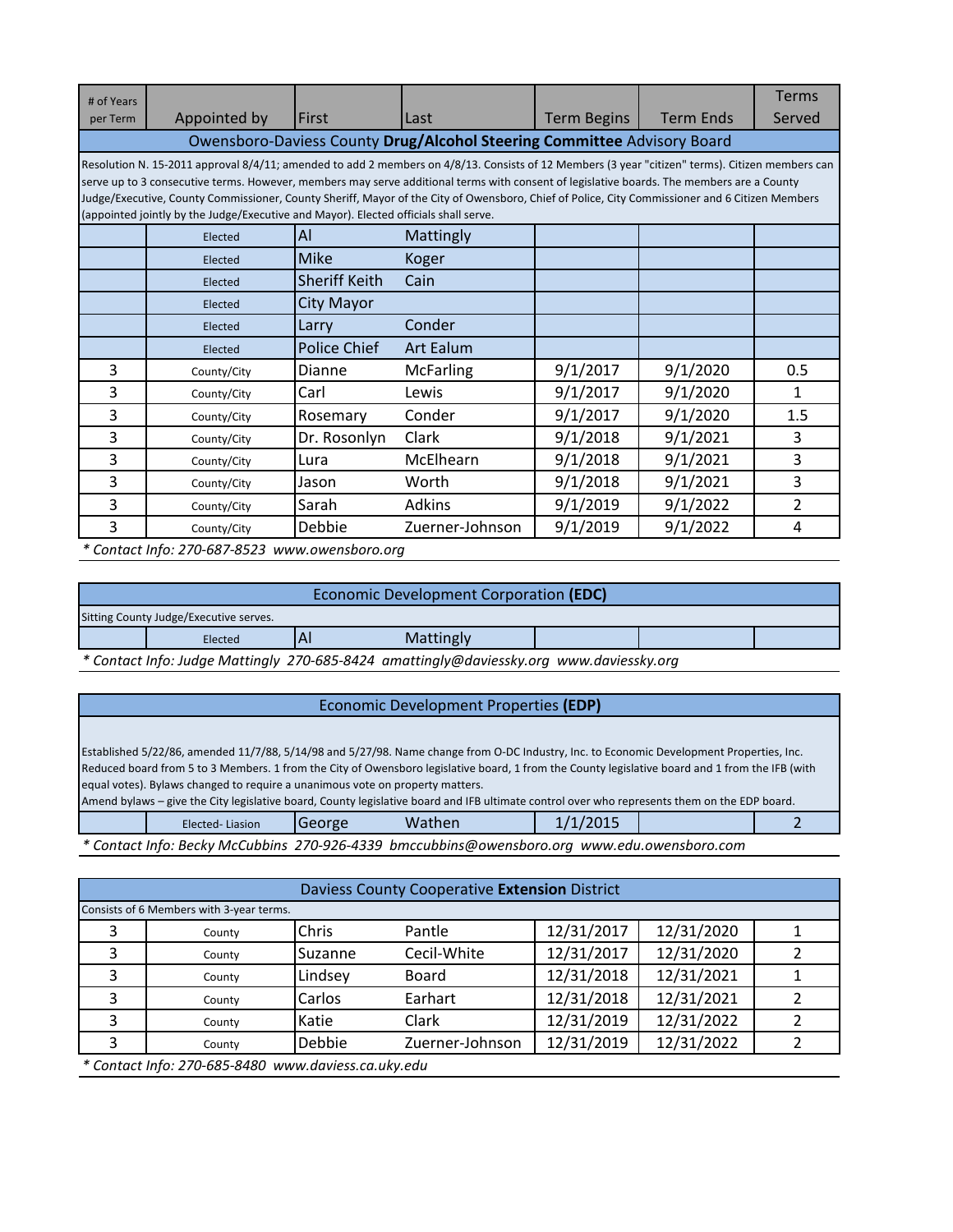|                                                                                                                                                 |                                                                                                                                                                                                                                                                                                                                                                                      |                  |                                                                                      |                  | <b>Terms</b>                                                                                                                                                                                                                                                                                |  |  |  |  |  |
|-------------------------------------------------------------------------------------------------------------------------------------------------|--------------------------------------------------------------------------------------------------------------------------------------------------------------------------------------------------------------------------------------------------------------------------------------------------------------------------------------------------------------------------------------|------------------|--------------------------------------------------------------------------------------|------------------|---------------------------------------------------------------------------------------------------------------------------------------------------------------------------------------------------------------------------------------------------------------------------------------------|--|--|--|--|--|
| Appointed by                                                                                                                                    | First                                                                                                                                                                                                                                                                                                                                                                                | Last             | <b>Term Begins</b>                                                                   | <b>Term Ends</b> | Served                                                                                                                                                                                                                                                                                      |  |  |  |  |  |
| Owensboro-Daviess County Drug/Alcohol Steering Committee Advisory Board                                                                         |                                                                                                                                                                                                                                                                                                                                                                                      |                  |                                                                                      |                  |                                                                                                                                                                                                                                                                                             |  |  |  |  |  |
| Resolution N. 15-2011 approval 8/4/11; amended to add 2 members on 4/8/13. Consists of 12 Members (3 year "citizen" terms). Citizen members can |                                                                                                                                                                                                                                                                                                                                                                                      |                  |                                                                                      |                  |                                                                                                                                                                                                                                                                                             |  |  |  |  |  |
|                                                                                                                                                 |                                                                                                                                                                                                                                                                                                                                                                                      |                  |                                                                                      |                  |                                                                                                                                                                                                                                                                                             |  |  |  |  |  |
|                                                                                                                                                 |                                                                                                                                                                                                                                                                                                                                                                                      |                  |                                                                                      |                  |                                                                                                                                                                                                                                                                                             |  |  |  |  |  |
| Elected                                                                                                                                         | Al                                                                                                                                                                                                                                                                                                                                                                                   | Mattingly        |                                                                                      |                  |                                                                                                                                                                                                                                                                                             |  |  |  |  |  |
| Elected                                                                                                                                         | Mike                                                                                                                                                                                                                                                                                                                                                                                 | Koger            |                                                                                      |                  |                                                                                                                                                                                                                                                                                             |  |  |  |  |  |
| Elected                                                                                                                                         | <b>Sheriff Keith</b>                                                                                                                                                                                                                                                                                                                                                                 | Cain             |                                                                                      |                  |                                                                                                                                                                                                                                                                                             |  |  |  |  |  |
| Elected                                                                                                                                         | City Mayor                                                                                                                                                                                                                                                                                                                                                                           |                  |                                                                                      |                  |                                                                                                                                                                                                                                                                                             |  |  |  |  |  |
| Elected                                                                                                                                         | Larry                                                                                                                                                                                                                                                                                                                                                                                | Conder           |                                                                                      |                  |                                                                                                                                                                                                                                                                                             |  |  |  |  |  |
| Elected                                                                                                                                         | Police Chief                                                                                                                                                                                                                                                                                                                                                                         | <b>Art Ealum</b> |                                                                                      |                  |                                                                                                                                                                                                                                                                                             |  |  |  |  |  |
| County/City                                                                                                                                     | Dianne                                                                                                                                                                                                                                                                                                                                                                               | <b>McFarling</b> | 9/1/2017                                                                             | 9/1/2020         | 0.5                                                                                                                                                                                                                                                                                         |  |  |  |  |  |
| County/City                                                                                                                                     | Carl                                                                                                                                                                                                                                                                                                                                                                                 | Lewis            | 9/1/2017                                                                             | 9/1/2020         | 1                                                                                                                                                                                                                                                                                           |  |  |  |  |  |
| County/City                                                                                                                                     | Rosemary                                                                                                                                                                                                                                                                                                                                                                             | Conder           | 9/1/2017                                                                             | 9/1/2020         | 1.5                                                                                                                                                                                                                                                                                         |  |  |  |  |  |
| County/City                                                                                                                                     | Dr. Rosonlyn                                                                                                                                                                                                                                                                                                                                                                         | Clark            | 9/1/2018                                                                             | 9/1/2021         | 3                                                                                                                                                                                                                                                                                           |  |  |  |  |  |
| County/City                                                                                                                                     | Lura                                                                                                                                                                                                                                                                                                                                                                                 | McElhearn        | 9/1/2018                                                                             | 9/1/2021         | 3                                                                                                                                                                                                                                                                                           |  |  |  |  |  |
| County/City                                                                                                                                     | Jason                                                                                                                                                                                                                                                                                                                                                                                | Worth            | 9/1/2018                                                                             | 9/1/2021         | 3                                                                                                                                                                                                                                                                                           |  |  |  |  |  |
| County/City                                                                                                                                     | Sarah                                                                                                                                                                                                                                                                                                                                                                                | Adkins           | 9/1/2019                                                                             | 9/1/2022         | $\overline{2}$                                                                                                                                                                                                                                                                              |  |  |  |  |  |
| County/City                                                                                                                                     | Debbie                                                                                                                                                                                                                                                                                                                                                                               | Zuerner-Johnson  | 9/1/2019                                                                             | 9/1/2022         | 4                                                                                                                                                                                                                                                                                           |  |  |  |  |  |
|                                                                                                                                                 | $\overline{a}$ $\overline{a}$ $\overline{a}$ $\overline{a}$ $\overline{a}$ $\overline{a}$ $\overline{a}$ $\overline{a}$ $\overline{a}$ $\overline{a}$ $\overline{a}$ $\overline{a}$ $\overline{a}$ $\overline{a}$ $\overline{a}$ $\overline{a}$ $\overline{a}$ $\overline{a}$ $\overline{a}$ $\overline{a}$ $\overline{a}$ $\overline{a}$ $\overline{a}$ $\overline{a}$ $\overline{$ |                  | (appointed jointly by the Judge/Executive and Mayor). Elected officials shall serve. |                  | serve up to 3 consecutive terms. However, members may serve additional terms with consent of legislative boards. The members are a County<br>Judge/Executive, County Commissioner, County Sheriff, Mayor of the City of Owensboro, Chief of Police, City Commissioner and 6 Citizen Members |  |  |  |  |  |

*\* Contact Info: 270-687-8523 www.owensboro.org*

| Economic Development Corporation (EDC)                                                  |  |           |  |  |  |  |  |
|-----------------------------------------------------------------------------------------|--|-----------|--|--|--|--|--|
| Sitting County Judge/Executive serves.                                                  |  |           |  |  |  |  |  |
| Elected                                                                                 |  | Mattingly |  |  |  |  |  |
| * Contact Info: Judge Mattingly 270-685-8424 amattingly@daviessky.org www.daviessky.org |  |           |  |  |  |  |  |

# Economic Development Properties **(EDP)**

Established 5/22/86, amended 11/7/88, 5/14/98 and 5/27/98. Name change from O-DC Industry, Inc. to Economic Development Properties, Inc. Reduced board from 5 to 3 Members. 1 from the City of Owensboro legislative board, 1 from the County legislative board and 1 from the IFB (with equal votes). Bylaws changed to require a unanimous vote on property matters.

Amend bylaws – give the City legislative board, County legislative board and IFB ultimate control over who represents them on the EDP board.

| Elected-Liasion | Wathen                                                                                            |  |  |
|-----------------|---------------------------------------------------------------------------------------------------|--|--|
|                 | $*$ Contact Info: Recky McCubbins, 270-926-4339, hmccubbins@owensharo.org www.edu.owensharo.com * |  |  |

*\* Contact Info: Becky McCubbins 270-926-4339 bmccubbins@owensboro.org www.edu.owensboro.com*

|   | Daviess County Cooperative Extension District |         |                 |            |            |  |  |  |  |  |
|---|-----------------------------------------------|---------|-----------------|------------|------------|--|--|--|--|--|
|   | Consists of 6 Members with 3-year terms.      |         |                 |            |            |  |  |  |  |  |
|   | County                                        | Chris   | Pantle          | 12/31/2017 | 12/31/2020 |  |  |  |  |  |
|   | County                                        | Suzanne | Cecil-White     | 12/31/2017 | 12/31/2020 |  |  |  |  |  |
| 3 | County                                        | Lindsey | <b>Board</b>    | 12/31/2018 | 12/31/2021 |  |  |  |  |  |
| 3 | County                                        | Carlos  | Earhart         | 12/31/2018 | 12/31/2021 |  |  |  |  |  |
| 3 | County                                        | Katie   | <b>Clark</b>    | 12/31/2019 | 12/31/2022 |  |  |  |  |  |
|   | County                                        | Debbie  | Zuerner-Johnson | 12/31/2019 | 12/31/2022 |  |  |  |  |  |
|   | $*$ Contact Info: 270 COF 0400 $$             |         |                 |            |            |  |  |  |  |  |

*\* Contact Info: 270-685-8480 www.daviess.ca.uky.edu*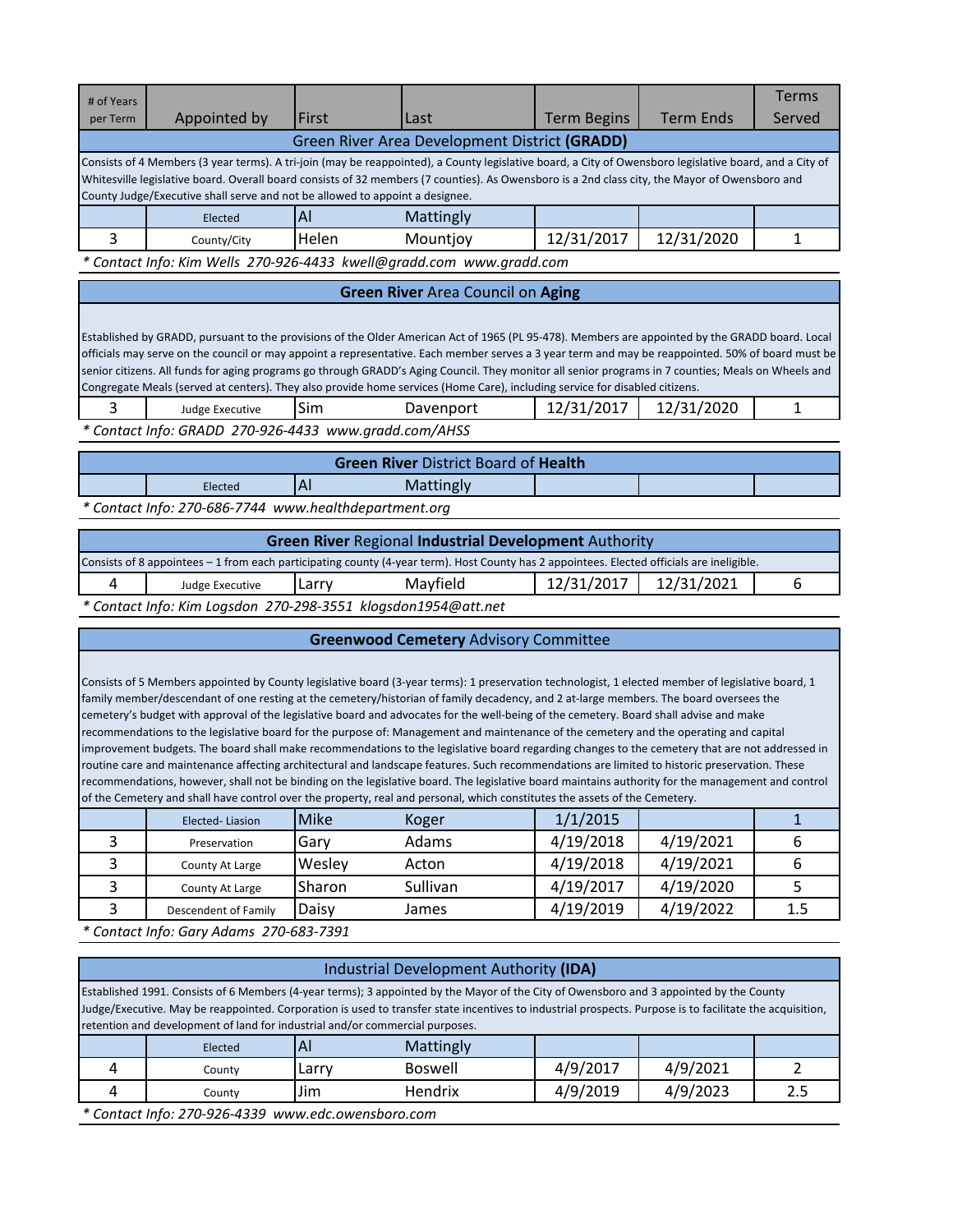| # of Years<br>per Term                        | Appointed by                                                                                                                                                                                                                                                                                                                                                                              | First | Last      | <b>Term Begins</b> | <b>Term Ends</b> | <b>Terms</b><br>Served |  |  |
|-----------------------------------------------|-------------------------------------------------------------------------------------------------------------------------------------------------------------------------------------------------------------------------------------------------------------------------------------------------------------------------------------------------------------------------------------------|-------|-----------|--------------------|------------------|------------------------|--|--|
| Green River Area Development District (GRADD) |                                                                                                                                                                                                                                                                                                                                                                                           |       |           |                    |                  |                        |  |  |
|                                               | Consists of 4 Members (3 year terms). A tri-join (may be reappointed), a County legislative board, a City of Owensboro legislative board, and a City of<br>Whitesville legislative board. Overall board consists of 32 members (7 counties). As Owensboro is a 2nd class city, the Mayor of Owensboro and<br>County Judge/Executive shall serve and not be allowed to appoint a designee. |       |           |                    |                  |                        |  |  |
|                                               | Elected                                                                                                                                                                                                                                                                                                                                                                                   | Al    | Mattingly |                    |                  |                        |  |  |
|                                               | County/City                                                                                                                                                                                                                                                                                                                                                                               | Helen | Mountjoy  | 12/31/2017         | 12/31/2020       |                        |  |  |
|                                               | * Contact Info: Kim Wells 270-926-4433 kwell@gradd.com www.gradd.com                                                                                                                                                                                                                                                                                                                      |       |           |                    |                  |                        |  |  |

| <b>Green River Area Council on Aging</b> |  |  |
|------------------------------------------|--|--|

Established by GRADD, pursuant to the provisions of the Older American Act of 1965 (PL 95-478). Members are appointed by the GRADD board. Local officials may serve on the council or may appoint a representative. Each member serves a 3 year term and may be reappointed. 50% of board must be senior citizens. All funds for aging programs go through GRADD's Aging Council. They monitor all senior programs in 7 counties; Meals on Wheels and Congregate Meals (served at centers). They also provide home services (Home Care), including service for disabled citizens.

| Judge Executive                                       | 'Sim | Davenport | 12/31/2017 | 12/31/2020 |  |
|-------------------------------------------------------|------|-----------|------------|------------|--|
| * Contact Info: GRADD 270-926-4433 www.gradd.com/AHSS |      |           |            |            |  |

| <b>Green River District Board of Health</b> |                                                       |  |           |  |  |  |  |  |  |
|---------------------------------------------|-------------------------------------------------------|--|-----------|--|--|--|--|--|--|
|                                             | Elected                                               |  | Mattingly |  |  |  |  |  |  |
|                                             | * Contact Info: 270-686-7744 www.healthdepartment.org |  |           |  |  |  |  |  |  |

| <b>Green River Regional Industrial Development Authority</b> |                                                                                                                                            |       |          |            |            |  |  |  |
|--------------------------------------------------------------|--------------------------------------------------------------------------------------------------------------------------------------------|-------|----------|------------|------------|--|--|--|
|                                                              | Consists of 8 appointees – 1 from each participating county (4-year term). Host County has 2 appointees. Elected officials are ineligible. |       |          |            |            |  |  |  |
|                                                              | Judge Executive                                                                                                                            | Larry | Mayfield | 12/31/2017 | 12/31/2021 |  |  |  |
|                                                              | $*$ Contact Info: Kim Logsdan, 270, 200, 2551, klogsdan1054@att.net                                                                        |       |          |            |            |  |  |  |

*\* Contact Info: Kim Logsdon 270-298-3551 klogsdon1954@att.net*

### **Greenwood Cemetery** Advisory Committee

Consists of 5 Members appointed by County legislative board (3-year terms): 1 preservation technologist, 1 elected member of legislative board, 1 family member/descendant of one resting at the cemetery/historian of family decadency, and 2 at-large members. The board oversees the cemetery's budget with approval of the legislative board and advocates for the well-being of the cemetery. Board shall advise and make recommendations to the legislative board for the purpose of: Management and maintenance of the cemetery and the operating and capital improvement budgets. The board shall make recommendations to the legislative board regarding changes to the cemetery that are not addressed in routine care and maintenance affecting architectural and landscape features. Such recommendations are limited to historic preservation. These recommendations, however, shall not be binding on the legislative board. The legislative board maintains authority for the management and control of the Cemetery and shall have control over the property, real and personal, which constitutes the assets of the Cemetery.

| Elected-Liasion      | <b>Mike</b> | Koger    | 1/1/2015  |           |     |
|----------------------|-------------|----------|-----------|-----------|-----|
| Preservation         | Garv        | Adams    | 4/19/2018 | 4/19/2021 |     |
| County At Large      | Wesley      | Acton    | 4/19/2018 | 4/19/2021 |     |
| County At Large      | Sharon      | Sullivan | 4/19/2017 | 4/19/2020 |     |
| Descendent of Family | Daisy       | James    | 4/19/2019 | 4/19/2022 | 1.5 |
|                      |             |          |           |           |     |

*\* Contact Info: Gary Adams 270-683-7391*

|   | Industrial Development Authority (IDA)                                                                                                                                                                                                                                                                                                                                              |       |           |          |          |     |  |  |  |
|---|-------------------------------------------------------------------------------------------------------------------------------------------------------------------------------------------------------------------------------------------------------------------------------------------------------------------------------------------------------------------------------------|-------|-----------|----------|----------|-----|--|--|--|
|   | Established 1991. Consists of 6 Members (4-year terms); 3 appointed by the Mayor of the City of Owensboro and 3 appointed by the County<br>Judge/Executive. May be reappointed. Corporation is used to transfer state incentives to industrial prospects. Purpose is to facilitate the acquisition,<br>retention and development of land for industrial and/or commercial purposes. |       |           |          |          |     |  |  |  |
|   | Elected                                                                                                                                                                                                                                                                                                                                                                             | A     | Mattingly |          |          |     |  |  |  |
| 4 | County                                                                                                                                                                                                                                                                                                                                                                              | Larry | Boswell   | 4/9/2017 | 4/9/2021 |     |  |  |  |
|   | County                                                                                                                                                                                                                                                                                                                                                                              | Jim   | Hendrix   | 4/9/2019 | 4/9/2023 | 2.5 |  |  |  |
|   | * Contact Info: 270-926-4339 www.edc.owensboro.com                                                                                                                                                                                                                                                                                                                                  |       |           |          |          |     |  |  |  |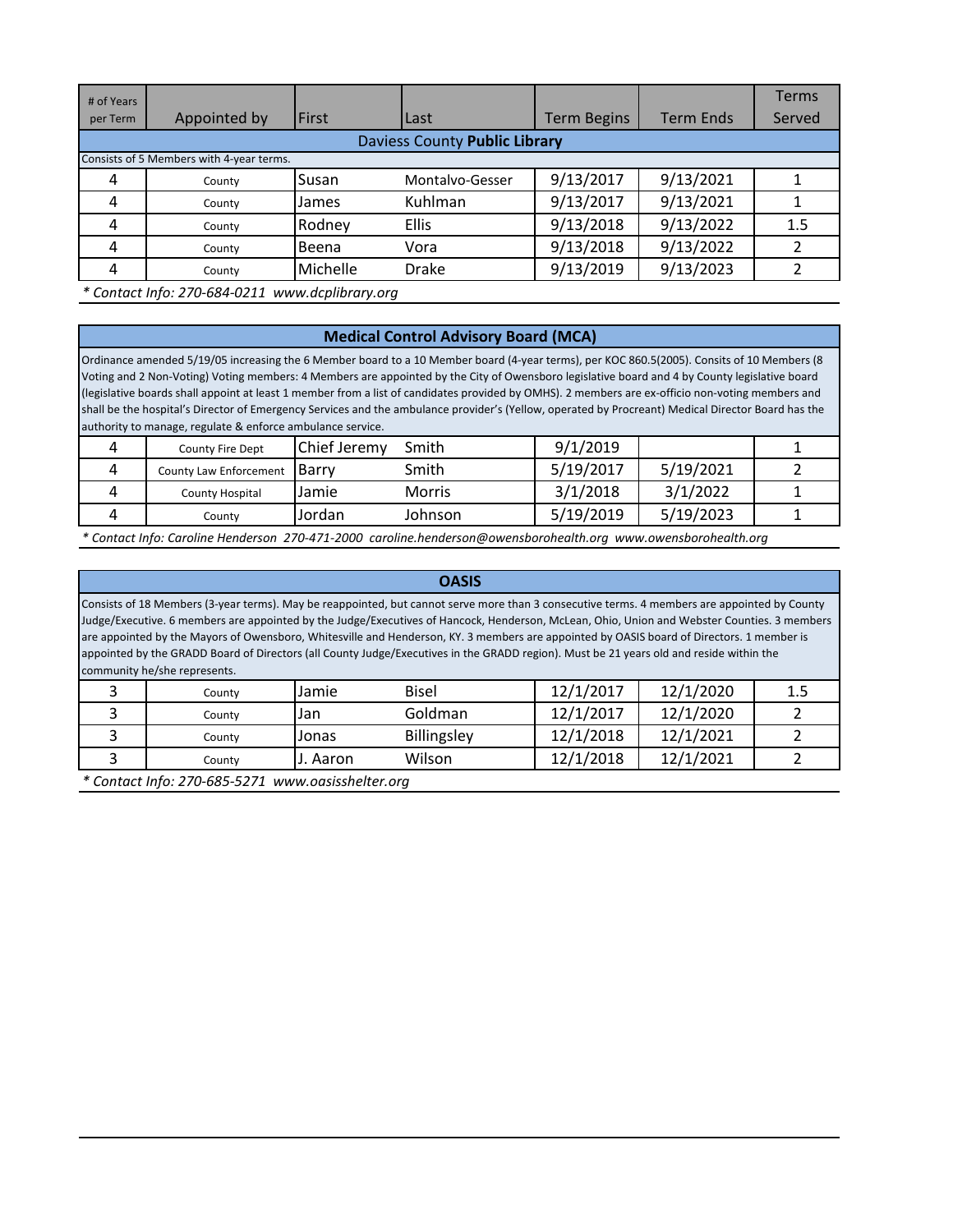| # of Years<br>per Term               | Appointed by                             | <b>First</b>       | Last            | <b>Term Begins</b> | <b>Term Ends</b> | <b>Terms</b><br>Served |  |  |  |
|--------------------------------------|------------------------------------------|--------------------|-----------------|--------------------|------------------|------------------------|--|--|--|
| <b>Daviess County Public Library</b> |                                          |                    |                 |                    |                  |                        |  |  |  |
|                                      | Consists of 5 Members with 4-year terms. |                    |                 |                    |                  |                        |  |  |  |
| 4                                    | County                                   | Susan              | Montalvo-Gesser | 9/13/2017          | 9/13/2021        |                        |  |  |  |
| 4                                    | County                                   | James              | Kuhlman         | 9/13/2017          | 9/13/2021        |                        |  |  |  |
| 4                                    | County                                   | Rodney             | <b>Ellis</b>    | 9/13/2018          | 9/13/2022        | 1.5                    |  |  |  |
| 4                                    | County                                   | Beena              | Vora            | 9/13/2018          | 9/13/2022        |                        |  |  |  |
| 4                                    | County                                   | Michelle           | Drake           | 9/13/2019          | 9/13/2023        |                        |  |  |  |
|                                      | * Contact Info: 270-684-0211             | www.dcplibrary.org |                 |                    |                  |                        |  |  |  |

# **Medical Control Advisory Board (MCA)**

Ordinance amended 5/19/05 increasing the 6 Member board to a 10 Member board (4-year terms), per KOC 860.5(2005). Consits of 10 Members (8 Voting and 2 Non-Voting) Voting members: 4 Members are appointed by the City of Owensboro legislative board and 4 by County legislative board (legislative boards shall appoint at least 1 member from a list of candidates provided by OMHS). 2 members are ex-officio non-voting members and shall be the hospital's Director of Emergency Services and the ambulance provider's (Yellow, operated by Procreant) Medical Director Board has the authority to manage, regulate & enforce ambulance service.

| <b>County Fire Dept</b> | Chief Jeremy  | Smith   | 9/1/2019  |           |  |
|-------------------------|---------------|---------|-----------|-----------|--|
| County Law Enforcement  | <b>IBarry</b> | Smith   | 5/19/2017 | 5/19/2021 |  |
| County Hospital         | Jamie         | Morris  | 3/1/2018  | 3/1/2022  |  |
| Countv                  | Jordan        | Johnson | 5/19/2019 | 5/19/2023 |  |

*\* Contact Info: Caroline Henderson 270-471-2000 caroline.henderson@owensborohealth.org www.owensborohealth.org*

#### **OASIS**

Consists of 18 Members (3-year terms). May be reappointed, but cannot serve more than 3 consecutive terms. 4 members are appointed by County Judge/Executive. 6 members are appointed by the Judge/Executives of Hancock, Henderson, McLean, Ohio, Union and Webster Counties. 3 members are appointed by the Mayors of Owensboro, Whitesville and Henderson, KY. 3 members are appointed by OASIS board of Directors. 1 member is appointed by the GRADD Board of Directors (all County Judge/Executives in the GRADD region). Must be 21 years old and reside within the community he/she represents.

| County | Jamie    | <b>Bisel</b> | 12/1/2017 | 12/1/2020 | 11<br>ᅩᆞ |
|--------|----------|--------------|-----------|-----------|----------|
| County | Jan      | Goldman      | 12/1/2017 | 12/1/2020 |          |
| County | Jonas    | Billingsley  | 12/1/2018 | 12/1/2021 |          |
| Countv | J. Aaron | Wilson       | 12/1/2018 | 12/1/2021 |          |

*\* Contact Info: 270-685-5271 www.oasisshelter.org*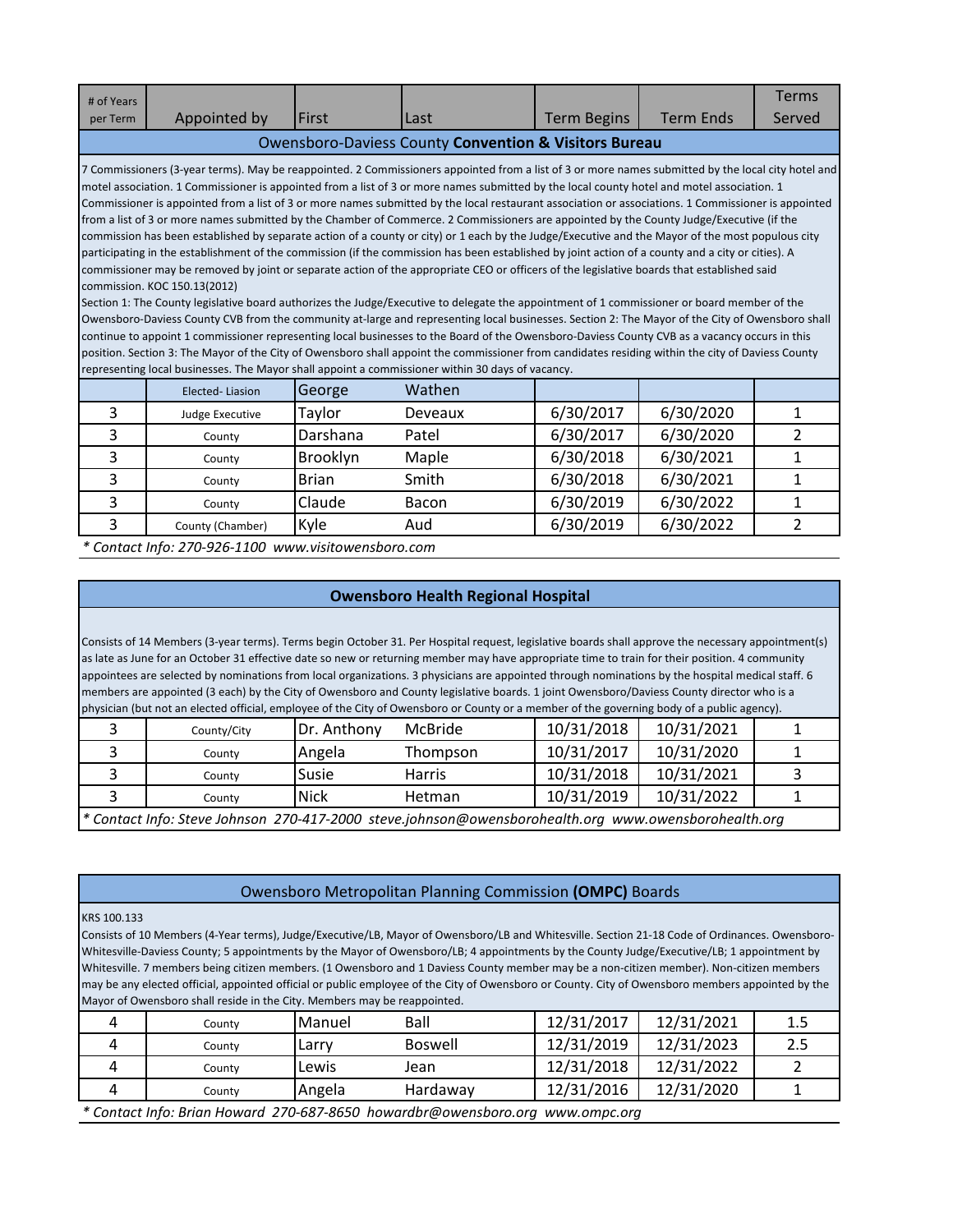| # of Years                                                       |                                                                                                                                                                                                                                                                                                                                                                                                                                                                                                                                                                                                                                                                                                                                                                                                                                                                                                                                                                                                                                             |              |         |                    |                  | <b>Terms</b>   |  |  |
|------------------------------------------------------------------|---------------------------------------------------------------------------------------------------------------------------------------------------------------------------------------------------------------------------------------------------------------------------------------------------------------------------------------------------------------------------------------------------------------------------------------------------------------------------------------------------------------------------------------------------------------------------------------------------------------------------------------------------------------------------------------------------------------------------------------------------------------------------------------------------------------------------------------------------------------------------------------------------------------------------------------------------------------------------------------------------------------------------------------------|--------------|---------|--------------------|------------------|----------------|--|--|
| per Term                                                         | Appointed by                                                                                                                                                                                                                                                                                                                                                                                                                                                                                                                                                                                                                                                                                                                                                                                                                                                                                                                                                                                                                                | l First      | Last    | <b>Term Begins</b> | <b>Term Ends</b> | Served         |  |  |
| <b>Owensboro-Daviess County Convention &amp; Visitors Bureau</b> |                                                                                                                                                                                                                                                                                                                                                                                                                                                                                                                                                                                                                                                                                                                                                                                                                                                                                                                                                                                                                                             |              |         |                    |                  |                |  |  |
|                                                                  | 7 Commissioners (3-year terms). May be reappointed. 2 Commissioners appointed from a list of 3 or more names submitted by the local city hotel and<br>motel association. 1 Commissioner is appointed from a list of 3 or more names submitted by the local county hotel and motel association. 1<br>Commissioner is appointed from a list of 3 or more names submitted by the local restaurant association or associations. 1 Commissioner is appointed<br>from a list of 3 or more names submitted by the Chamber of Commerce. 2 Commissioners are appointed by the County Judge/Executive (if the<br>commission has been established by separate action of a county or city) or 1 each by the Judge/Executive and the Mayor of the most populous city                                                                                                                                                                                                                                                                                     |              |         |                    |                  |                |  |  |
|                                                                  | participating in the establishment of the commission (if the commission has been established by joint action of a county and a city or cities). A<br>commissioner may be removed by joint or separate action of the appropriate CEO or officers of the legislative boards that established said<br>commission. KOC 150.13(2012)<br>Section 1: The County legislative board authorizes the Judge/Executive to delegate the appointment of 1 commissioner or board member of the<br>Owensboro-Daviess County CVB from the community at-large and representing local businesses. Section 2: The Mayor of the City of Owensboro shall<br>continue to appoint 1 commissioner representing local businesses to the Board of the Owensboro-Daviess County CVB as a vacancy occurs in this<br>position. Section 3: The Mayor of the City of Owensboro shall appoint the commissioner from candidates residing within the city of Daviess County<br>representing local businesses. The Mayor shall appoint a commissioner within 30 days of vacancy. |              |         |                    |                  |                |  |  |
|                                                                  | Elected-Liasion                                                                                                                                                                                                                                                                                                                                                                                                                                                                                                                                                                                                                                                                                                                                                                                                                                                                                                                                                                                                                             | George       | Wathen  |                    |                  |                |  |  |
| 3                                                                | Judge Executive                                                                                                                                                                                                                                                                                                                                                                                                                                                                                                                                                                                                                                                                                                                                                                                                                                                                                                                                                                                                                             | Taylor       | Deveaux | 6/30/2017          | 6/30/2020        | 1              |  |  |
| 3                                                                | County                                                                                                                                                                                                                                                                                                                                                                                                                                                                                                                                                                                                                                                                                                                                                                                                                                                                                                                                                                                                                                      | Darshana     | Patel   | 6/30/2017          | 6/30/2020        | $\overline{2}$ |  |  |
| 3                                                                | County                                                                                                                                                                                                                                                                                                                                                                                                                                                                                                                                                                                                                                                                                                                                                                                                                                                                                                                                                                                                                                      | Brooklyn     | Maple   | 6/30/2018          | 6/30/2021        | $\mathbf{1}$   |  |  |
| 3                                                                | County                                                                                                                                                                                                                                                                                                                                                                                                                                                                                                                                                                                                                                                                                                                                                                                                                                                                                                                                                                                                                                      | <b>Brian</b> | Smith   | 6/30/2018          | 6/30/2021        | 1              |  |  |
| 3                                                                | County                                                                                                                                                                                                                                                                                                                                                                                                                                                                                                                                                                                                                                                                                                                                                                                                                                                                                                                                                                                                                                      | Claude       | Bacon   | 6/30/2019          | 6/30/2022        | 1              |  |  |
| 3                                                                | County (Chamber)                                                                                                                                                                                                                                                                                                                                                                                                                                                                                                                                                                                                                                                                                                                                                                                                                                                                                                                                                                                                                            | Kyle         | Aud     | 6/30/2019          | 6/30/2022        | $\overline{2}$ |  |  |

*\* Contact Info: 270-926-1100 www.visitowensboro.com*

# **Owensboro Health Regional Hospital**

Consists of 14 Members (3-year terms). Terms begin October 31. Per Hospital request, legislative boards shall approve the necessary appointment(s) as late as June for an October 31 effective date so new or returning member may have appropriate time to train for their position. 4 community appointees are selected by nominations from local organizations. 3 physicians are appointed through nominations by the hospital medical staff. 6 members are appointed (3 each) by the City of Owensboro and County legislative boards. 1 joint Owensboro/Daviess County director who is a physician (but not an elected official, employee of the City of Owensboro or County or a member of the governing body of a public agency).

| County/City                                                                                          | Dr. Anthony | McBride       | 10/31/2018 | 10/31/2021 |  |  |  |  |
|------------------------------------------------------------------------------------------------------|-------------|---------------|------------|------------|--|--|--|--|
| County                                                                                               | Angela      | Thompson      | 10/31/2017 | 10/31/2020 |  |  |  |  |
| County                                                                                               | Susie       | Harris        | 10/31/2018 | 10/31/2021 |  |  |  |  |
| Countv                                                                                               | <b>Nick</b> | <b>Hetman</b> | 10/31/2019 | 10/31/2022 |  |  |  |  |
| * Contact Info: Steve Johnson 270-417-2000 steve.johnson@owensborohealth.org www.owensborohealth.org |             |               |            |            |  |  |  |  |

### Owensboro Metropolitan Planning Commission **(OMPC)** Boards

#### KRS 100.133

Consists of 10 Members (4-Year terms), Judge/Executive/LB, Mayor of Owensboro/LB and Whitesville. Section 21-18 Code of Ordinances. Owensboro-Whitesville-Daviess County; 5 appointments by the Mayor of Owensboro/LB; 4 appointments by the County Judge/Executive/LB; 1 appointment by Whitesville. 7 members being citizen members. (1 Owensboro and 1 Daviess County member may be a non-citizen member). Non-citizen members may be any elected official, appointed official or public employee of the City of Owensboro or County. City of Owensboro members appointed by the Mayor of Owensboro shall reside in the City. Members may be reappointed.

| County                                                                        | Manuel | Ball           |  | 12/31/2017 | 12/31/2021 | 1.5 |  |  |
|-------------------------------------------------------------------------------|--------|----------------|--|------------|------------|-----|--|--|
| County                                                                        | Larry  | <b>Boswell</b> |  | 12/31/2019 | 12/31/2023 | 2.5 |  |  |
| County                                                                        | Lewis  | Jean           |  | 12/31/2018 | 12/31/2022 |     |  |  |
| County                                                                        | Angela | Hardaway       |  | 12/31/2016 | 12/31/2020 |     |  |  |
| * Contact Info: Brian Howard 270-687-8650 howardbr@owensboro.org www.ompc.org |        |                |  |            |            |     |  |  |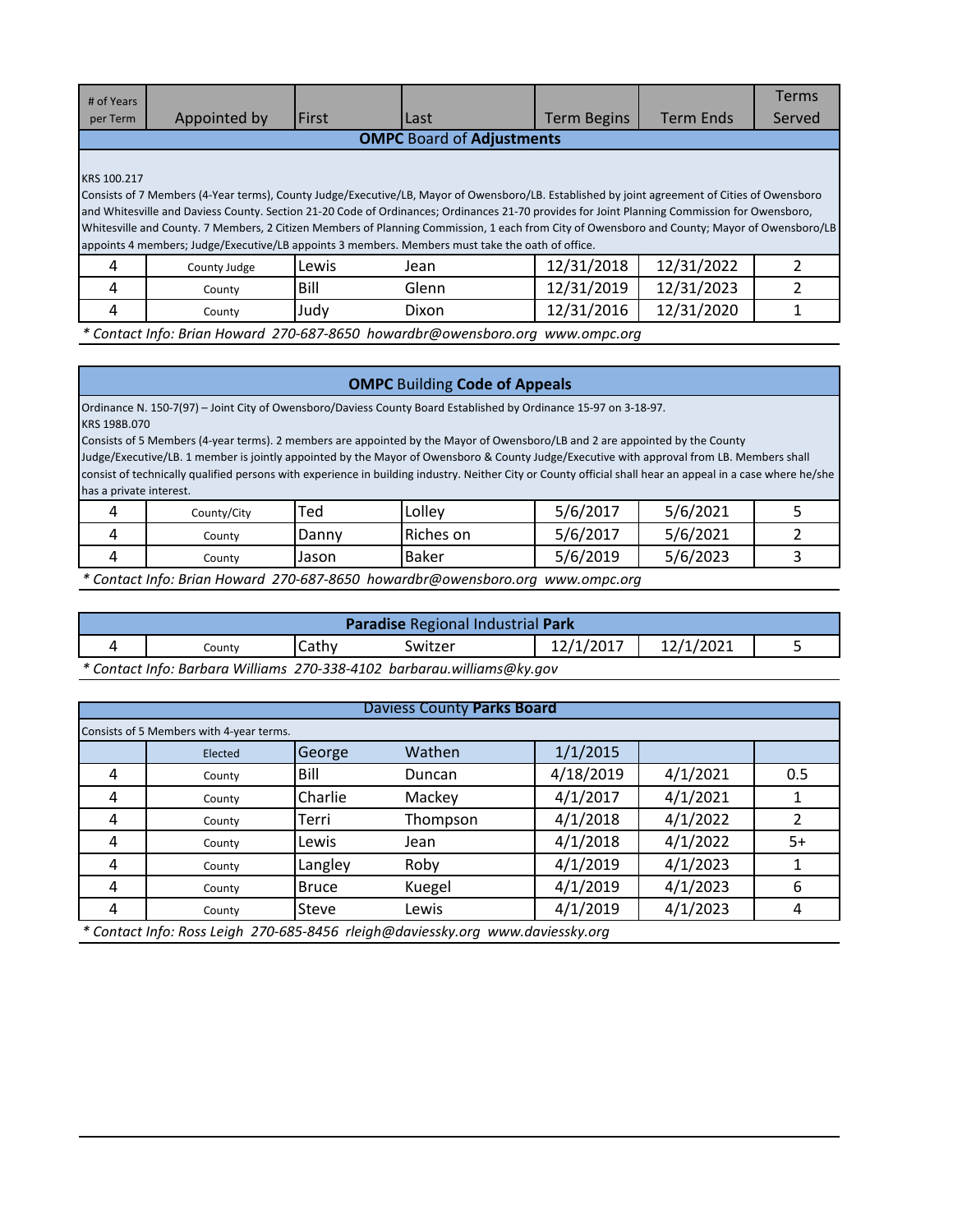| # of Years                       |                                                                                                                                               |       |       |                    |                  | <b>Terms</b> |  |  |
|----------------------------------|-----------------------------------------------------------------------------------------------------------------------------------------------|-------|-------|--------------------|------------------|--------------|--|--|
| per Term                         | Appointed by                                                                                                                                  | First | Last  | <b>Term Begins</b> | <b>Term Ends</b> | Served       |  |  |
| <b>OMPC</b> Board of Adjustments |                                                                                                                                               |       |       |                    |                  |              |  |  |
|                                  |                                                                                                                                               |       |       |                    |                  |              |  |  |
| KRS 100.217                      |                                                                                                                                               |       |       |                    |                  |              |  |  |
|                                  | Consists of 7 Members (4-Year terms), County Judge/Executive/LB, Mayor of Owensboro/LB. Established by joint agreement of Cities of Owensboro |       |       |                    |                  |              |  |  |
|                                  | and Whitesville and Daviess County. Section 21-20 Code of Ordinances; Ordinances 21-70 provides for Joint Planning Commission for Owensboro,  |       |       |                    |                  |              |  |  |
|                                  | Whitesville and County. 7 Members, 2 Citizen Members of Planning Commission, 1 each from City of Owensboro and County; Mayor of Owensboro/LB  |       |       |                    |                  |              |  |  |
|                                  | appoints 4 members; Judge/Executive/LB appoints 3 members. Members must take the oath of office.                                              |       |       |                    |                  |              |  |  |
| 4                                | County Judge                                                                                                                                  | Lewis | Jean  | 12/31/2018         | 12/31/2022       |              |  |  |
| 4                                | County                                                                                                                                        | Bill  | Glenn | 12/31/2019         | 12/31/2023       |              |  |  |
| 4                                | County                                                                                                                                        | Judy  | Dixon | 12/31/2016         | 12/31/2020       |              |  |  |
|                                  | * Contact Info: Brian Howard 270-687-8650 howardbr@owensboro.org                                                                              |       |       | www.ompc.org       |                  |              |  |  |

### **OMPC** Building **Code of Appeals**

Ordinance N. 150-7(97) – Joint City of Owensboro/Daviess County Board Established by Ordinance 15-97 on 3-18-97. KRS 198B.070

Consists of 5 Members (4-year terms). 2 members are appointed by the Mayor of Owensboro/LB and 2 are appointed by the County Judge/Executive/LB. 1 member is jointly appointed by the Mayor of Owensboro & County Judge/Executive with approval from LB. Members shall consist of technically qualified persons with experience in building industry. Neither City or County official shall hear an appeal in a case where he/she has a private interest.

| County/City | <b>Ted</b> | Lolley    | 5/6/2017 | 5/6/2021 |  |
|-------------|------------|-----------|----------|----------|--|
| County      | Danny      | Riches on | 5/6/2017 | 5/6/2021 |  |
| County      | Jason      | Baker     | 5/6/2019 | 5/6/2023 |  |

*\* Contact Info: Brian Howard 270-687-8650 howardbr@owensboro.org www.ompc.org*

| <b>Paradise Regional Industrial Park</b> |                                                                               |       |         |           |           |  |  |  |
|------------------------------------------|-------------------------------------------------------------------------------|-------|---------|-----------|-----------|--|--|--|
|                                          | Countv                                                                        | Cathv | Switzer | 12/1/2017 | 12/1/2021 |  |  |  |
|                                          | $*$ Contact Info: Barbara Williams, 270, 220, 4102, barbarau williams@lat.gov |       |         |           |           |  |  |  |

*\* Contact Info: Barbara Williams 270-338-4102 barbarau.williams@ky.gov*

#### Daviess County **Parks Board**

|   | Consists of 5 Members with 4-year terms. |              |                                                                                |           |          |      |  |  |  |
|---|------------------------------------------|--------------|--------------------------------------------------------------------------------|-----------|----------|------|--|--|--|
|   | Elected                                  | George       | Wathen                                                                         | 1/1/2015  |          |      |  |  |  |
| 4 | County                                   | Bill         | Duncan                                                                         | 4/18/2019 | 4/1/2021 | 0.5  |  |  |  |
| 4 | County                                   | Charlie      | Mackey                                                                         | 4/1/2017  | 4/1/2021 |      |  |  |  |
| 4 | County                                   | Terri        | Thompson                                                                       | 4/1/2018  | 4/1/2022 |      |  |  |  |
| 4 | County                                   | Lewis        | Jean                                                                           | 4/1/2018  | 4/1/2022 | $5+$ |  |  |  |
| 4 | County                                   | Langley      | Roby                                                                           | 4/1/2019  | 4/1/2023 |      |  |  |  |
| 4 | County                                   | <b>Bruce</b> | Kuegel                                                                         | 4/1/2019  | 4/1/2023 | 6    |  |  |  |
|   | County                                   | Steve        | Lewis                                                                          | 4/1/2019  | 4/1/2023 | 4    |  |  |  |
|   |                                          |              | * Contact Info: Ross Leigh 270-685-8456 rleigh@daviessky.org www.daviessky.org |           |          |      |  |  |  |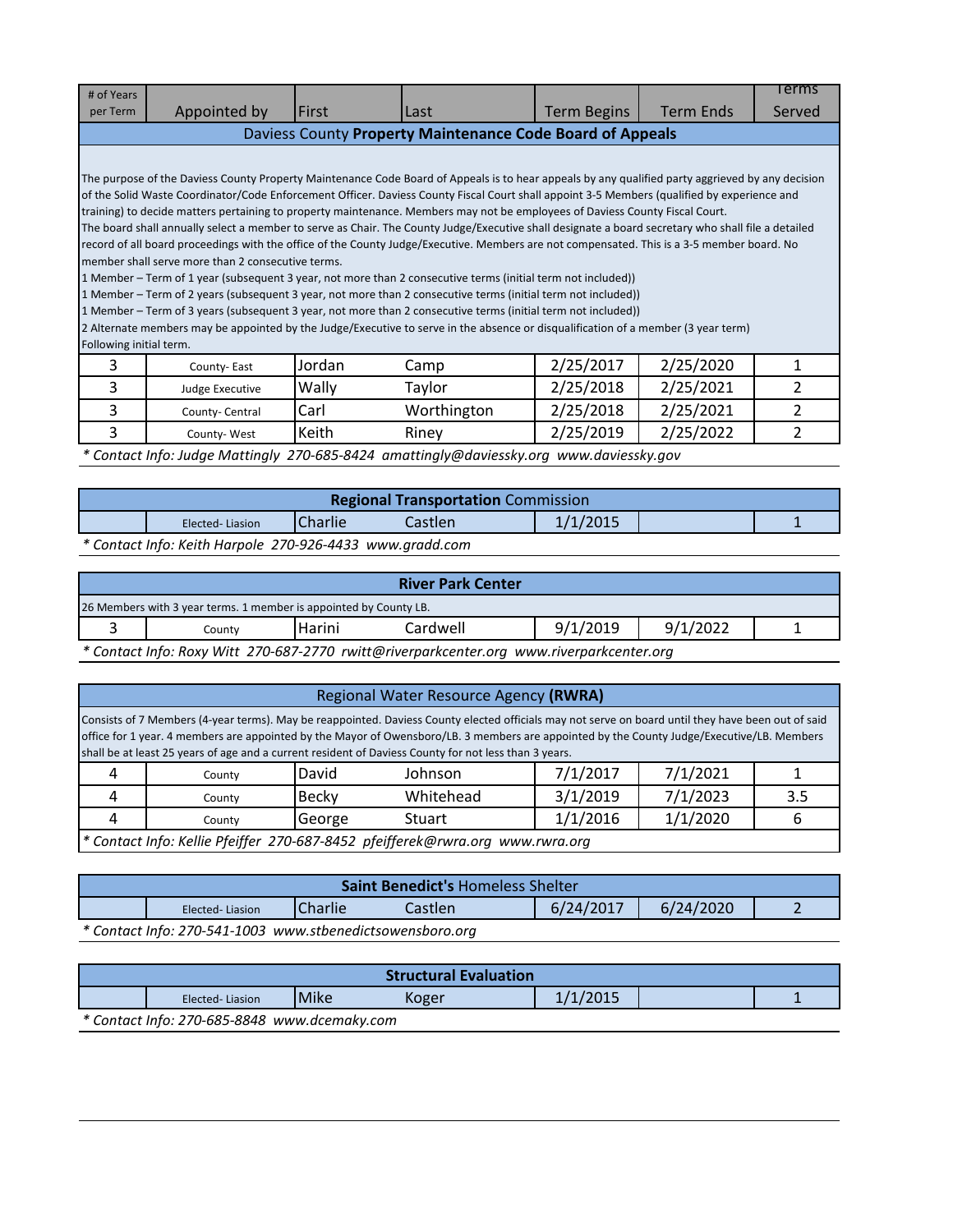| # of Years                                                |                                                                                                                                                    |        |             |                    |                  | Terms         |  |  |
|-----------------------------------------------------------|----------------------------------------------------------------------------------------------------------------------------------------------------|--------|-------------|--------------------|------------------|---------------|--|--|
| per Term                                                  | Appointed by                                                                                                                                       | First  | Last        | <b>Term Begins</b> | <b>Term Ends</b> | Served        |  |  |
| Daviess County Property Maintenance Code Board of Appeals |                                                                                                                                                    |        |             |                    |                  |               |  |  |
|                                                           |                                                                                                                                                    |        |             |                    |                  |               |  |  |
|                                                           | The purpose of the Daviess County Property Maintenance Code Board of Appeals is to hear appeals by any qualified party aggrieved by any decision   |        |             |                    |                  |               |  |  |
|                                                           | of the Solid Waste Coordinator/Code Enforcement Officer. Daviess County Fiscal Court shall appoint 3-5 Members (qualified by experience and        |        |             |                    |                  |               |  |  |
|                                                           | training) to decide matters pertaining to property maintenance. Members may not be employees of Daviess County Fiscal Court.                       |        |             |                    |                  |               |  |  |
|                                                           | The board shall annually select a member to serve as Chair. The County Judge/Executive shall designate a board secretary who shall file a detailed |        |             |                    |                  |               |  |  |
|                                                           | record of all board proceedings with the office of the County Judge/Executive. Members are not compensated. This is a 3-5 member board. No         |        |             |                    |                  |               |  |  |
|                                                           | member shall serve more than 2 consecutive terms.                                                                                                  |        |             |                    |                  |               |  |  |
|                                                           | 1 Member – Term of 1 year (subsequent 3 year, not more than 2 consecutive terms (initial term not included))                                       |        |             |                    |                  |               |  |  |
|                                                           | 1 Member – Term of 2 years (subsequent 3 year, not more than 2 consecutive terms (initial term not included))                                      |        |             |                    |                  |               |  |  |
|                                                           | 1 Member – Term of 3 years (subsequent 3 year, not more than 2 consecutive terms (initial term not included))                                      |        |             |                    |                  |               |  |  |
|                                                           | [2 Alternate members may be appointed by the Judge/Executive to serve in the absence or disqualification of a member (3 year term)                 |        |             |                    |                  |               |  |  |
| Following initial term.                                   |                                                                                                                                                    |        |             |                    |                  |               |  |  |
| 3                                                         | County-East                                                                                                                                        | Jordan | Camp        | 2/25/2017          | 2/25/2020        | 1             |  |  |
| 3                                                         | Judge Executive                                                                                                                                    | Wally  | Taylor      | 2/25/2018          | 2/25/2021        | $\mathfrak z$ |  |  |
| 3                                                         | County-Central                                                                                                                                     | Carl   | Worthington | 2/25/2018          | 2/25/2021        | 2             |  |  |
| 3                                                         | County-West                                                                                                                                        | Keith  | Riney       | 2/25/2019          | 2/25/2022        | 2             |  |  |

*\* Contact Info: Judge Mattingly 270-685-8424 amattingly@daviessky.org www.daviessky.gov*

| <b>Regional Transportation Commission</b>                |                                                          |  |  |  |  |  |  |  |
|----------------------------------------------------------|----------------------------------------------------------|--|--|--|--|--|--|--|
| 1/1/2015<br><b>Charlie</b><br>Castlen<br>Elected-Liasion |                                                          |  |  |  |  |  |  |  |
|                                                          | * Contact Info: Keith Harpole 270-926-4433 www.gradd.com |  |  |  |  |  |  |  |

| <b>River Park Center</b>                                          |                                                                                            |        |          |          |          |  |  |
|-------------------------------------------------------------------|--------------------------------------------------------------------------------------------|--------|----------|----------|----------|--|--|
| 26 Members with 3 year terms. 1 member is appointed by County LB. |                                                                                            |        |          |          |          |  |  |
|                                                                   | Countv                                                                                     | Harini | Cardwell | 9/1/2019 | 9/1/2022 |  |  |
|                                                                   | $*$ Contact lafe: Dow, Witt 270 607 2770 muitt@riverparkcontor arg www.riverparkcontor.org |        |          |          |          |  |  |

*\* Contact Info: Roxy Witt 270-687-2770 rwitt@riverparkcenter.org www.riverparkcenter.org*

### Regional Water Resource Agency **(RWRA)**

Consists of 7 Members (4-year terms). May be reappointed. Daviess County elected officials may not serve on board until they have been out of said office for 1 year. 4 members are appointed by the Mayor of Owensboro/LB. 3 members are appointed by the County Judge/Executive/LB. Members shall be at least 25 years of age and a current resident of Daviess County for not less than 3 years.

| Countv                                                                        | David  | Johnson   | 7/1/2017 | 7/1/2021 |     |  |  |
|-------------------------------------------------------------------------------|--------|-----------|----------|----------|-----|--|--|
| Countv                                                                        | Becky  | Whitehead | 3/1/2019 | 7/1/2023 | 3.5 |  |  |
| Countv                                                                        | George | Stuart    | 1/1/2016 | 1/1/2020 |     |  |  |
| * Contact Info: Kellie Pfeiffer 270-687-8452 pfeifferek@rwra.org www.rwra.org |        |           |          |          |     |  |  |

| <b>Saint Benedict's Homeless Shelter</b> |                                                                          |  |  |  |  |  |  |  |
|------------------------------------------|--------------------------------------------------------------------------|--|--|--|--|--|--|--|
|                                          | 6/24/2017<br>6/24/2020<br><b>ICharlie</b><br>Castlen.<br>Elected-Liasion |  |  |  |  |  |  |  |
|                                          | * Contact Info: 270-541-1003 www.stbenedictsowensboro.org                |  |  |  |  |  |  |  |

| <b>Structural Evaluation</b> |                                              |      |       |          |  |  |  |  |  |
|------------------------------|----------------------------------------------|------|-------|----------|--|--|--|--|--|
|                              | Elected-Liasion                              | Mike | Koger | 1/1/2015 |  |  |  |  |  |
|                              | * Contact Info: 270-685-8848 www.dcemaky.com |      |       |          |  |  |  |  |  |